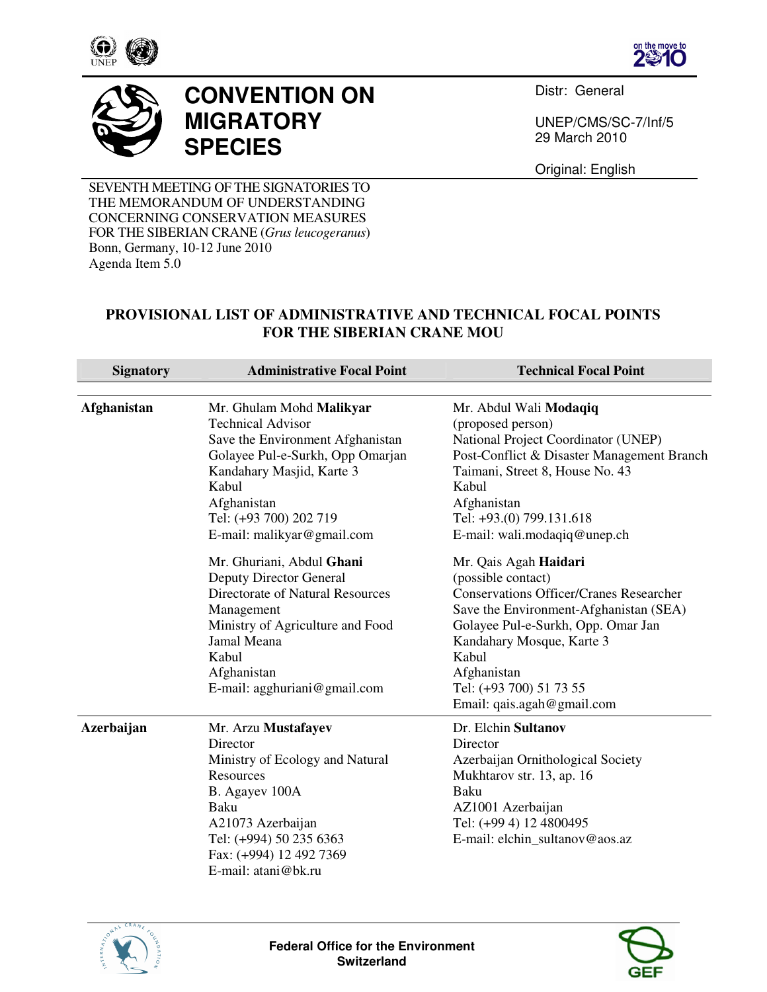





## **CONVENTION ON MIGRATORY SPECIES**

Distr: General

UNEP/CMS/SC-7/Inf/5 29 March 2010

Original: English

SEVENTH MEETING OF THE SIGNATORIES TO THE MEMORANDUM OF UNDERSTANDING CONCERNING CONSERVATION MEASURES FOR THE SIBERIAN CRANE (*Grus leucogeranus*) Bonn, Germany, 10-12 June 2010 Agenda Item 5.0

## **PROVISIONAL LIST OF ADMINISTRATIVE AND TECHNICAL FOCAL POINTS FOR THE SIBERIAN CRANE MOU**

| <b>Signatory</b>   | <b>Administrative Focal Point</b>                                                                                                                                                                                                               | <b>Technical Focal Point</b>                                                                                                                                                                                                                                                                                                |
|--------------------|-------------------------------------------------------------------------------------------------------------------------------------------------------------------------------------------------------------------------------------------------|-----------------------------------------------------------------------------------------------------------------------------------------------------------------------------------------------------------------------------------------------------------------------------------------------------------------------------|
| <b>Afghanistan</b> | Mr. Ghulam Mohd Malikyar<br><b>Technical Advisor</b><br>Save the Environment Afghanistan<br>Golayee Pul-e-Surkh, Opp Omarjan<br>Kandahary Masjid, Karte 3<br>Kabul<br>Afghanistan<br>Tel: (+93 700) 202 719                                     | Mr. Abdul Wali Modaqiq<br>(proposed person)<br>National Project Coordinator (UNEP)<br>Post-Conflict & Disaster Management Branch<br>Taimani, Street 8, House No. 43<br>Kabul<br>Afghanistan<br>Tel: +93.(0) 799.131.618                                                                                                     |
|                    | E-mail: malikyar@gmail.com<br>Mr. Ghuriani, Abdul Ghani<br>Deputy Director General<br>Directorate of Natural Resources<br>Management<br>Ministry of Agriculture and Food<br>Jamal Meana<br>Kabul<br>Afghanistan<br>E-mail: agghuriani@gmail.com | E-mail: wali.modaqiq@unep.ch<br>Mr. Qais Agah Haidari<br>(possible contact)<br><b>Conservations Officer/Cranes Researcher</b><br>Save the Environment-Afghanistan (SEA)<br>Golayee Pul-e-Surkh, Opp. Omar Jan<br>Kandahary Mosque, Karte 3<br>Kabul<br>Afghanistan<br>Tel: (+93 700) 51 73 55<br>Email: qais.agah@gmail.com |
| <b>Azerbaijan</b>  | Mr. Arzu Mustafayev<br>Director<br>Ministry of Ecology and Natural<br>Resources<br>B. Agayev 100A<br>Baku<br>A21073 Azerbaijan<br>Tel: (+994) 50 235 6363<br>Fax: (+994) 12 492 7369<br>E-mail: atani@bk.ru                                     | Dr. Elchin Sultanov<br>Director<br>Azerbaijan Ornithological Society<br>Mukhtarov str. 13, ap. 16<br>Baku<br>AZ1001 Azerbaijan<br>Tel: (+99 4) 12 4800495<br>E-mail: elchin_sultanov@aos.az                                                                                                                                 |





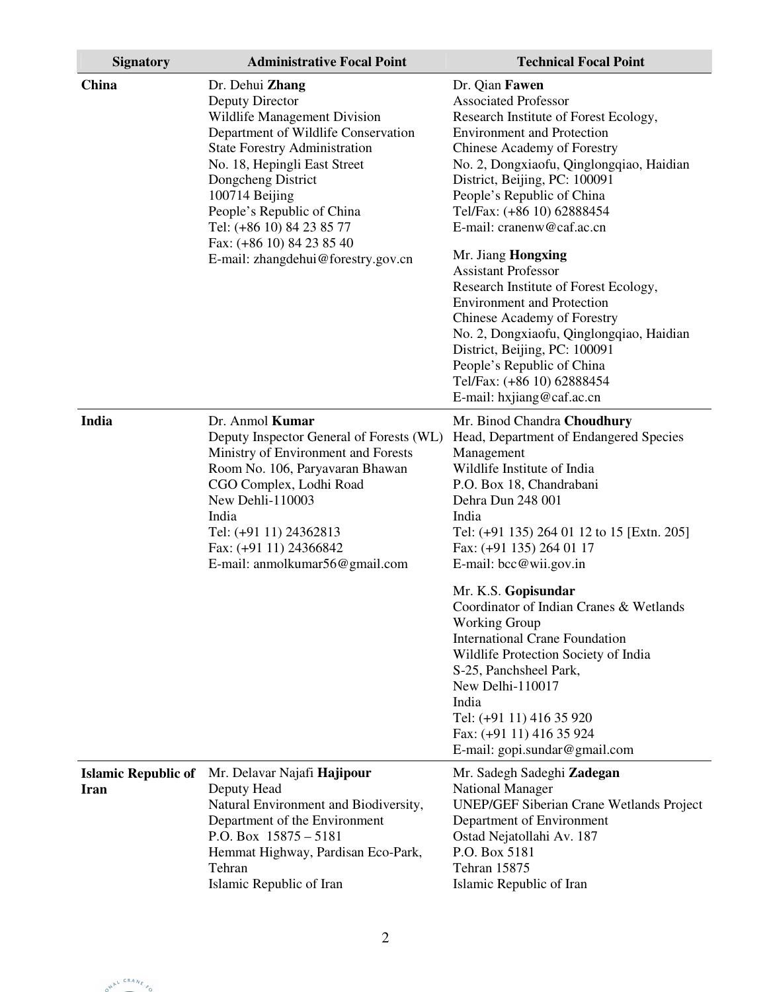| <b>Signatory</b>                   | <b>Administrative Focal Point</b>                                                                                                                                                                                                                                                                                 | <b>Technical Focal Point</b>                                                                                                                                                                                                                                                                                                        |
|------------------------------------|-------------------------------------------------------------------------------------------------------------------------------------------------------------------------------------------------------------------------------------------------------------------------------------------------------------------|-------------------------------------------------------------------------------------------------------------------------------------------------------------------------------------------------------------------------------------------------------------------------------------------------------------------------------------|
| China                              | Dr. Dehui Zhang<br>Deputy Director<br>Wildlife Management Division<br>Department of Wildlife Conservation<br><b>State Forestry Administration</b><br>No. 18, Hepingli East Street<br>Dongcheng District<br>100714 Beijing<br>People's Republic of China<br>Tel: (+86 10) 84 23 85 77<br>Fax: (+86 10) 84 23 85 40 | Dr. Qian Fawen<br><b>Associated Professor</b><br>Research Institute of Forest Ecology,<br><b>Environment and Protection</b><br>Chinese Academy of Forestry<br>No. 2, Dongxiaofu, Qinglongqiao, Haidian<br>District, Beijing, PC: 100091<br>People's Republic of China<br>Tel/Fax: (+86 10) 62888454<br>E-mail: cranenw@caf.ac.cn    |
|                                    | E-mail: zhangdehui@forestry.gov.cn                                                                                                                                                                                                                                                                                | Mr. Jiang Hongxing<br><b>Assistant Professor</b><br>Research Institute of Forest Ecology,<br><b>Environment and Protection</b><br>Chinese Academy of Forestry<br>No. 2, Dongxiaofu, Qinglongqiao, Haidian<br>District, Beijing, PC: 100091<br>People's Republic of China<br>Tel/Fax: (+86 10) 62888454<br>E-mail: hxjiang@caf.ac.cn |
| India                              | Dr. Anmol Kumar<br>Deputy Inspector General of Forests (WL)<br>Ministry of Environment and Forests<br>Room No. 106, Paryavaran Bhawan<br>CGO Complex, Lodhi Road<br>New Dehli-110003<br>India<br>Tel: (+91 11) 24362813<br>Fax: (+91 11) 24366842<br>E-mail: anmolkumar56@gmail.com                               | Mr. Binod Chandra Choudhury<br>Head, Department of Endangered Species<br>Management<br>Wildlife Institute of India<br>P.O. Box 18, Chandrabani<br>Dehra Dun 248 001<br>India<br>Tel: (+91 135) 264 01 12 to 15 [Extn. 205]<br>Fax: (+91 135) 264 01 17<br>E-mail: bcc@wii.gov.in                                                    |
|                                    |                                                                                                                                                                                                                                                                                                                   | Mr. K.S. Gopisundar<br>Coordinator of Indian Cranes & Wetlands<br><b>Working Group</b><br><b>International Crane Foundation</b><br>Wildlife Protection Society of India<br>S-25, Panchsheel Park,<br>New Delhi-110017<br>India<br>Tel: (+91 11) 416 35 920<br>Fax: (+91 11) 416 35 924<br>E-mail: gopi.sundar@gmail.com             |
| <b>Islamic Republic of</b><br>Iran | Mr. Delavar Najafi Hajipour<br>Deputy Head<br>Natural Environment and Biodiversity,<br>Department of the Environment<br>P.O. Box $15875 - 5181$<br>Hemmat Highway, Pardisan Eco-Park,<br>Tehran<br>Islamic Republic of Iran                                                                                       | Mr. Sadegh Sadeghi Zadegan<br><b>National Manager</b><br><b>UNEP/GEF Siberian Crane Wetlands Project</b><br>Department of Environment<br>Ostad Nejatollahi Av. 187<br>P.O. Box 5181<br>Tehran 15875<br>Islamic Republic of Iran                                                                                                     |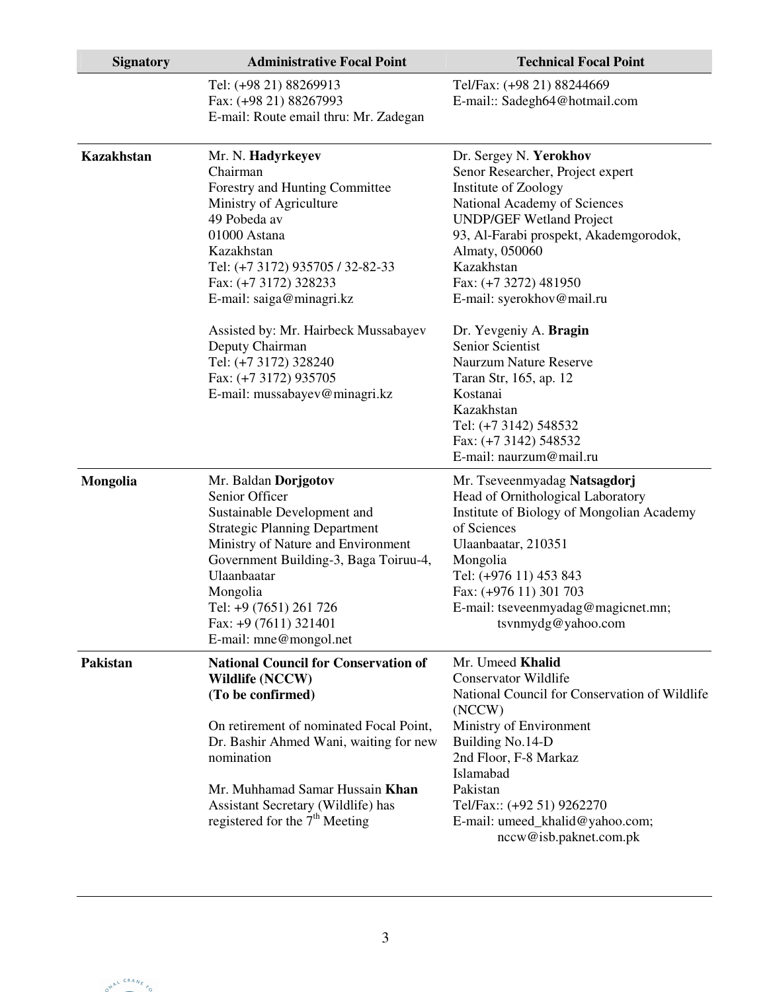| <b>Signatory</b>  | <b>Administrative Focal Point</b>                                                                                                                                                                                                                                                                                                                                               | <b>Technical Focal Point</b>                                                                                                                                                                                                                                                                                                                                                                                                                                                                          |
|-------------------|---------------------------------------------------------------------------------------------------------------------------------------------------------------------------------------------------------------------------------------------------------------------------------------------------------------------------------------------------------------------------------|-------------------------------------------------------------------------------------------------------------------------------------------------------------------------------------------------------------------------------------------------------------------------------------------------------------------------------------------------------------------------------------------------------------------------------------------------------------------------------------------------------|
|                   | Tel: (+98 21) 88269913<br>Fax: (+98 21) 88267993<br>E-mail: Route email thru: Mr. Zadegan                                                                                                                                                                                                                                                                                       | Tel/Fax: (+98 21) 88244669<br>E-mail:: Sadegh64@hotmail.com                                                                                                                                                                                                                                                                                                                                                                                                                                           |
| <b>Kazakhstan</b> | Mr. N. Hadyrkeyev<br>Chairman<br>Forestry and Hunting Committee<br>Ministry of Agriculture<br>49 Pobeda av<br>01000 Astana<br>Kazakhstan<br>Tel: (+7 3172) 935705 / 32-82-33<br>Fax: (+7 3172) 328233<br>E-mail: saiga@minagri.kz<br>Assisted by: Mr. Hairbeck Mussabayev<br>Deputy Chairman<br>Tel: (+7 3172) 328240<br>Fax: (+7 3172) 935705<br>E-mail: mussabayev@minagri.kz | Dr. Sergey N. Yerokhov<br>Senor Researcher, Project expert<br>Institute of Zoology<br>National Academy of Sciences<br><b>UNDP/GEF Wetland Project</b><br>93, Al-Farabi prospekt, Akademgorodok,<br>Almaty, 050060<br>Kazakhstan<br>Fax: (+7 3272) 481950<br>E-mail: syerokhov@mail.ru<br>Dr. Yevgeniy A. Bragin<br>Senior Scientist<br><b>Naurzum Nature Reserve</b><br>Taran Str, 165, ap. 12<br>Kostanai<br>Kazakhstan<br>Tel: (+7 3142) 548532<br>Fax: (+7 3142) 548532<br>E-mail: naurzum@mail.ru |
| Mongolia          | Mr. Baldan Dorjgotov<br>Senior Officer<br>Sustainable Development and<br><b>Strategic Planning Department</b><br>Ministry of Nature and Environment<br>Government Building-3, Baga Toiruu-4,<br>Ulaanbaatar<br>Mongolia<br>Tel: +9 (7651) 261 726<br>Fax: +9 (7611) 321401<br>E-mail: mne@mongol.net                                                                            | Mr. Tseveenmyadag Natsagdorj<br>Head of Ornithological Laboratory<br>Institute of Biology of Mongolian Academy<br>of Sciences<br>Ulaanbaatar, 210351<br>Mongolia<br>Tel: (+976 11) 453 843<br>Fax: (+976 11) 301 703<br>E-mail: tseveenmyadag@magicnet.mn;<br>tsvnmydg@yahoo.com                                                                                                                                                                                                                      |
| Pakistan          | <b>National Council for Conservation of</b><br><b>Wildlife (NCCW)</b><br>(To be confirmed)<br>On retirement of nominated Focal Point,<br>Dr. Bashir Ahmed Wani, waiting for new<br>nomination<br>Mr. Muhhamad Samar Hussain Khan<br>Assistant Secretary (Wildlife) has<br>registered for the $7th$ Meeting                                                                      | Mr. Umeed Khalid<br><b>Conservator Wildlife</b><br>National Council for Conservation of Wildlife<br>(NCCW)<br>Ministry of Environment<br>Building No.14-D<br>2nd Floor, F-8 Markaz<br>Islamabad<br>Pakistan<br>Tel/Fax:: (+92 51) 9262270<br>E-mail: umeed_khalid@yahoo.com;<br>nccw@isb.paknet.com.pk                                                                                                                                                                                                |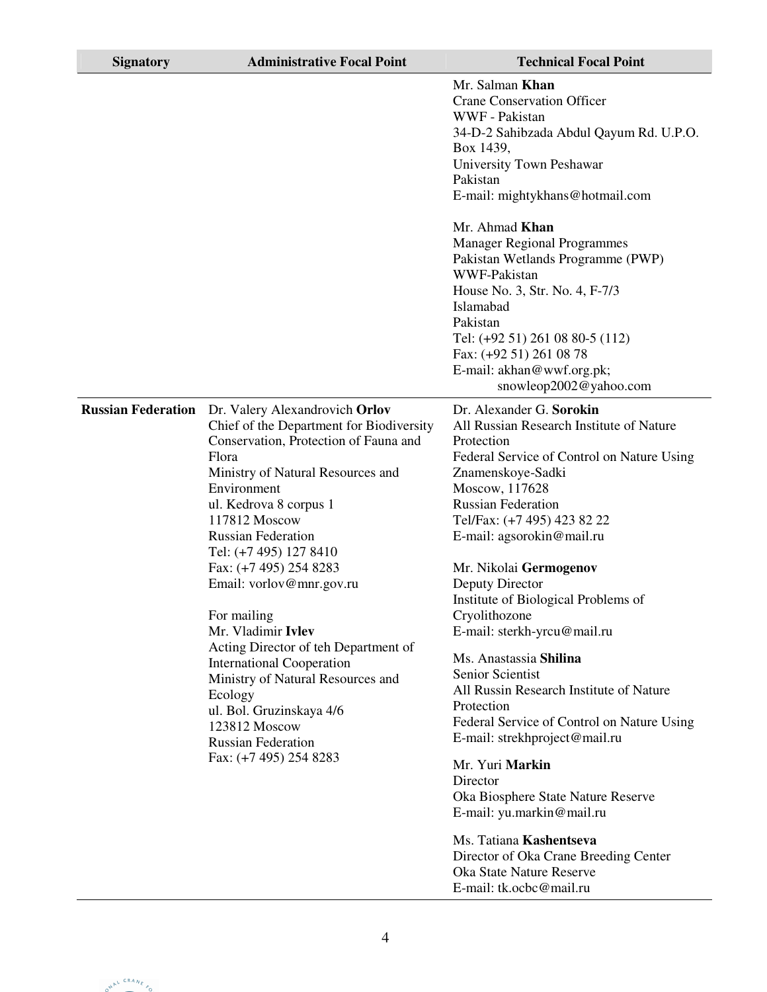| <b>Signatory</b>          | <b>Administrative Focal Point</b>                                                                                                                                                                                                                                                                                                                                                                                                                                                                                                                                                                             | <b>Technical Focal Point</b>                                                                                                                                                                                                                                                                                                                                                                                                                                                                                                                                                                                                                                                                                                                                                                                                                      |
|---------------------------|---------------------------------------------------------------------------------------------------------------------------------------------------------------------------------------------------------------------------------------------------------------------------------------------------------------------------------------------------------------------------------------------------------------------------------------------------------------------------------------------------------------------------------------------------------------------------------------------------------------|---------------------------------------------------------------------------------------------------------------------------------------------------------------------------------------------------------------------------------------------------------------------------------------------------------------------------------------------------------------------------------------------------------------------------------------------------------------------------------------------------------------------------------------------------------------------------------------------------------------------------------------------------------------------------------------------------------------------------------------------------------------------------------------------------------------------------------------------------|
|                           |                                                                                                                                                                                                                                                                                                                                                                                                                                                                                                                                                                                                               | Mr. Salman Khan<br><b>Crane Conservation Officer</b><br>WWF - Pakistan<br>34-D-2 Sahibzada Abdul Qayum Rd. U.P.O.<br>Box 1439,<br>University Town Peshawar<br>Pakistan<br>E-mail: mightykhans@hotmail.com<br>Mr. Ahmad Khan<br><b>Manager Regional Programmes</b><br>Pakistan Wetlands Programme (PWP)<br>WWF-Pakistan<br>House No. 3, Str. No. 4, F-7/3<br>Islamabad<br>Pakistan<br>Tel: (+92 51) 261 08 80-5 (112)<br>Fax: (+92 51) 261 08 78<br>E-mail: akhan@wwf.org.pk;                                                                                                                                                                                                                                                                                                                                                                      |
| <b>Russian Federation</b> | Dr. Valery Alexandrovich Orlov<br>Chief of the Department for Biodiversity<br>Conservation, Protection of Fauna and<br>Flora<br>Ministry of Natural Resources and<br>Environment<br>ul. Kedrova 8 corpus 1<br>117812 Moscow<br><b>Russian Federation</b><br>Tel: (+7 495) 127 8410<br>Fax: (+7 495) 254 8283<br>Email: vorlov@mnr.gov.ru<br>For mailing<br>Mr. Vladimir Ivlev<br>Acting Director of teh Department of<br><b>International Cooperation</b><br>Ministry of Natural Resources and<br>Ecology<br>ul. Bol. Gruzinskaya 4/6<br>123812 Moscow<br><b>Russian Federation</b><br>Fax: (+7 495) 254 8283 | snowleop2002@yahoo.com<br>Dr. Alexander G. Sorokin<br>All Russian Research Institute of Nature<br>Protection<br>Federal Service of Control on Nature Using<br>Znamenskoye-Sadki<br>Moscow, 117628<br><b>Russian Federation</b><br>Tel/Fax: (+7 495) 423 82 22<br>E-mail: agsorokin@mail.ru<br>Mr. Nikolai Germogenov<br>Deputy Director<br>Institute of Biological Problems of<br>Cryolithozone<br>E-mail: sterkh-yrcu@mail.ru<br>Ms. Anastassia Shilina<br>Senior Scientist<br>All Russin Research Institute of Nature<br>Protection<br>Federal Service of Control on Nature Using<br>E-mail: strekhproject@mail.ru<br>Mr. Yuri Markin<br>Director<br>Oka Biosphere State Nature Reserve<br>E-mail: yu.markin@mail.ru<br>Ms. Tatiana Kashentseva<br>Director of Oka Crane Breeding Center<br>Oka State Nature Reserve<br>E-mail: tk.ocbc@mail.ru |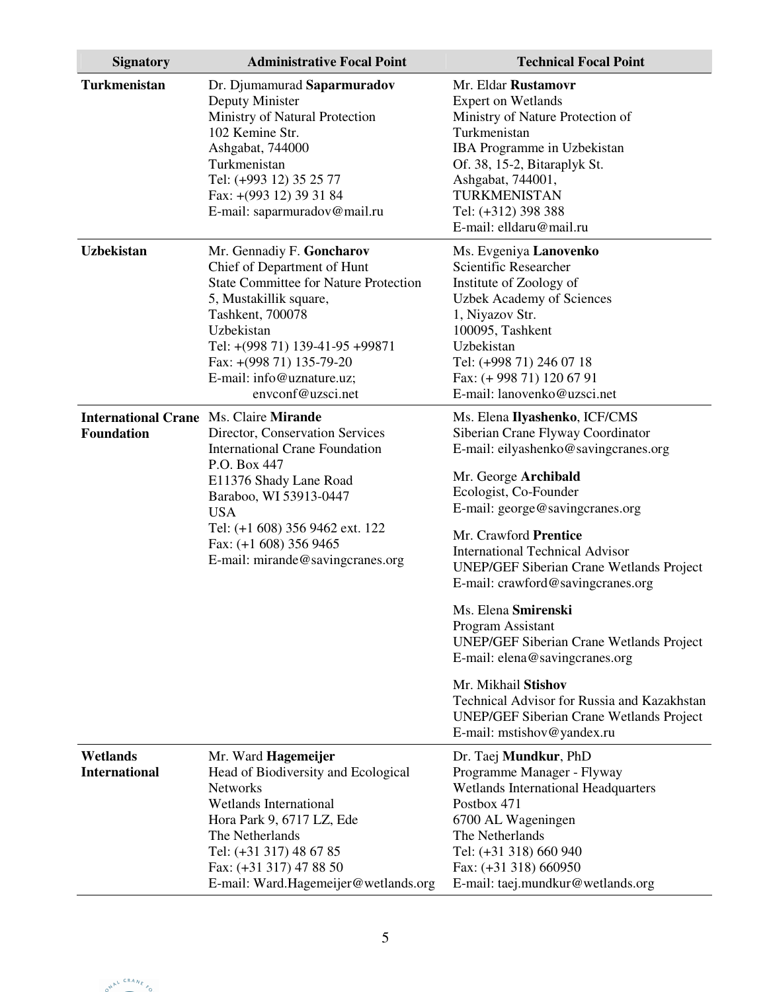| <b>Signatory</b>                                                   | <b>Administrative Focal Point</b>                                                                                                                                                                                                                                                     | <b>Technical Focal Point</b>                                                                                                                                                                                                                                                                                                                                                                                                                                                                                                                                                                                                                      |
|--------------------------------------------------------------------|---------------------------------------------------------------------------------------------------------------------------------------------------------------------------------------------------------------------------------------------------------------------------------------|---------------------------------------------------------------------------------------------------------------------------------------------------------------------------------------------------------------------------------------------------------------------------------------------------------------------------------------------------------------------------------------------------------------------------------------------------------------------------------------------------------------------------------------------------------------------------------------------------------------------------------------------------|
| Turkmenistan                                                       | Dr. Djumamurad Saparmuradov<br>Deputy Minister<br>Ministry of Natural Protection<br>102 Kemine Str.<br>Ashgabat, 744000<br>Turkmenistan<br>Tel: (+993 12) 35 25 77<br>Fax: +(993 12) 39 31 84<br>E-mail: saparmuradov@mail.ru                                                         | Mr. Eldar Rustamovr<br><b>Expert on Wetlands</b><br>Ministry of Nature Protection of<br>Turkmenistan<br>IBA Programme in Uzbekistan<br>Of. 38, 15-2, Bitaraplyk St.<br>Ashgabat, 744001,<br>TURKMENISTAN<br>Tel: (+312) 398 388<br>E-mail: elldaru@mail.ru                                                                                                                                                                                                                                                                                                                                                                                        |
| <b>Uzbekistan</b>                                                  | Mr. Gennadiy F. Goncharov<br>Chief of Department of Hunt<br><b>State Committee for Nature Protection</b><br>5, Mustakillik square,<br>Tashkent, 700078<br>Uzbekistan<br>Tel: +(998 71) 139-41-95 +99871<br>Fax: +(998 71) 135-79-20<br>E-mail: info@uznature.uz;<br>envconf@uzsci.net | Ms. Evgeniya Lanovenko<br>Scientific Researcher<br>Institute of Zoology of<br><b>Uzbek Academy of Sciences</b><br>1, Niyazov Str.<br>100095, Tashkent<br>Uzbekistan<br>Tel: (+998 71) 246 07 18<br>Fax: (+998 71) 120 67 91<br>E-mail: lanovenko@uzsci.net                                                                                                                                                                                                                                                                                                                                                                                        |
| <b>International Crane Ms. Claire Mirande</b><br><b>Foundation</b> | Director, Conservation Services<br><b>International Crane Foundation</b><br>P.O. Box 447<br>E11376 Shady Lane Road<br>Baraboo, WI 53913-0447<br><b>USA</b><br>Tel: (+1 608) 356 9462 ext. 122<br>Fax: (+1 608) 356 9465<br>E-mail: mirande@savingcranes.org                           | Ms. Elena Ilyashenko, ICF/CMS<br>Siberian Crane Flyway Coordinator<br>E-mail: eilyashenko@savingcranes.org<br>Mr. George Archibald<br>Ecologist, Co-Founder<br>E-mail: george@savingcranes.org<br>Mr. Crawford Prentice<br><b>International Technical Advisor</b><br><b>UNEP/GEF Siberian Crane Wetlands Project</b><br>E-mail: crawford@savingcranes.org<br>Ms. Elena Smirenski<br>Program Assistant<br><b>UNEP/GEF Siberian Crane Wetlands Project</b><br>E-mail: elena@savingcranes.org<br>Mr. Mikhail Stishov<br>Technical Advisor for Russia and Kazakhstan<br><b>UNEP/GEF Siberian Crane Wetlands Project</b><br>E-mail: mstishov@yandex.ru |
| Wetlands<br><b>International</b>                                   | Mr. Ward Hagemeijer<br>Head of Biodiversity and Ecological<br><b>Networks</b><br><b>Wetlands International</b><br>Hora Park 9, 6717 LZ, Ede<br>The Netherlands<br>Tel: (+31 317) 48 67 85<br>Fax: (+31 317) 47 88 50<br>E-mail: Ward.Hagemeijer@wetlands.org                          | Dr. Taej Mundkur, PhD<br>Programme Manager - Flyway<br><b>Wetlands International Headquarters</b><br>Postbox 471<br>6700 AL Wageningen<br>The Netherlands<br>Tel: (+31 318) 660 940<br>Fax: (+31 318) 660950<br>E-mail: taej.mundkur@wetlands.org                                                                                                                                                                                                                                                                                                                                                                                                 |